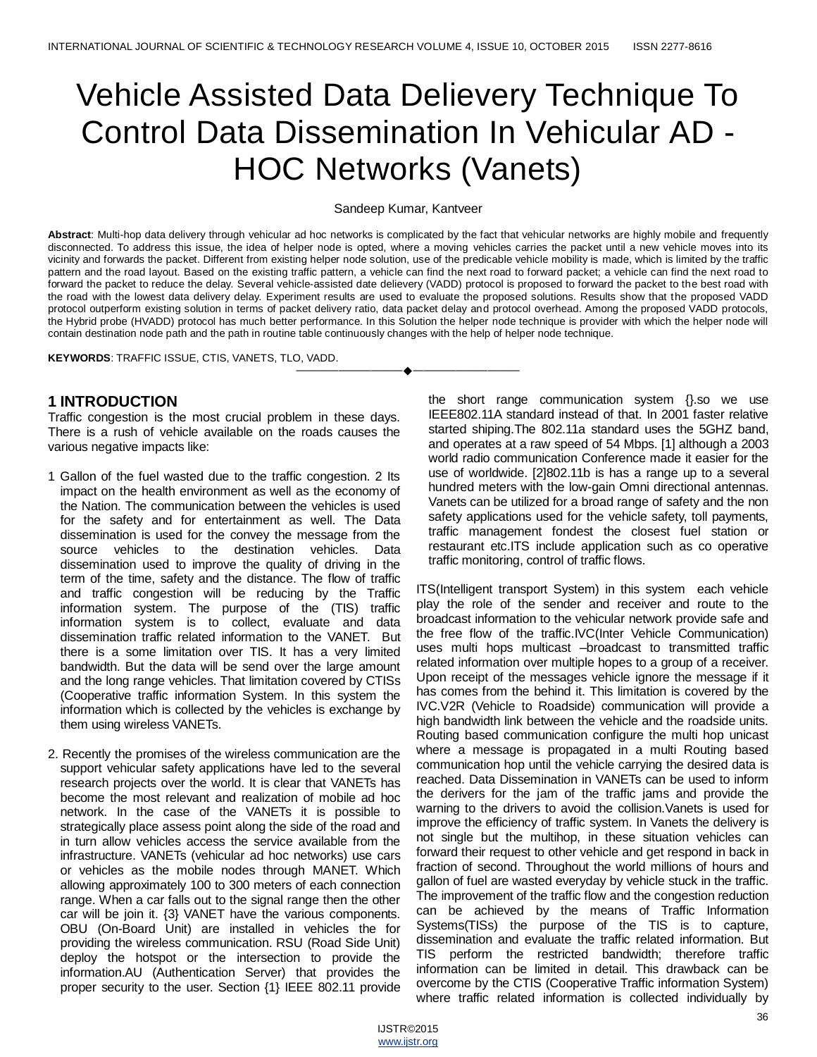# Vehicle Assisted Data Delievery Technique To Control Data Dissemination In Vehicular AD - HOC Networks (Vanets)

#### Sandeep Kumar, Kantveer

**Abstract**: Multi-hop data delivery through vehicular ad hoc networks is complicated by the fact that vehicular networks are highly mobile and frequently disconnected. To address this issue, the idea of helper node is opted, where a moving vehicles carries the packet until a new vehicle moves into its vicinity and forwards the packet. Different from existing helper node solution, use of the predicable vehicle mobility is made, which is limited by the traffic pattern and the road layout. Based on the existing traffic pattern, a vehicle can find the next road to forward packet; a vehicle can find the next road to forward the packet to reduce the delay. Several vehicle-assisted date delievery (VADD) protocol is proposed to forward the packet to the best road with the road with the lowest data delivery delay. Experiment results are used to evaluate the proposed solutions. Results show that the proposed VADD protocol outperform existing solution in terms of packet delivery ratio, data packet delay and protocol overhead. Among the proposed VADD protocols, the Hybrid probe (HVADD) protocol has much better performance. In this Solution the helper node technique is provider with which the helper node will contain destination node path and the path in routine table continuously changes with the help of helper node technique.

————————————————————

**KEYWORDS**: TRAFFIC ISSUE, CTIS, VANETS, TLO, VADD.

# **1 INTRODUCTION**

Traffic congestion is the most crucial problem in these days. There is a rush of vehicle available on the roads causes the various negative impacts like:

- 1 Gallon of the fuel wasted due to the traffic congestion. 2 Its impact on the health environment as well as the economy of the Nation. The communication between the vehicles is used for the safety and for entertainment as well. The Data dissemination is used for the convey the message from the source vehicles to the destination vehicles. Data dissemination used to improve the quality of driving in the term of the time, safety and the distance. The flow of traffic and traffic congestion will be reducing by the Traffic information system. The purpose of the (TIS) traffic information system is to collect, evaluate and data dissemination traffic related information to the VANET. But there is a some limitation over TIS. It has a very limited bandwidth. But the data will be send over the large amount and the long range vehicles. That limitation covered by CTISs (Cooperative traffic information System. In this system the information which is collected by the vehicles is exchange by them using wireless VANETs.
- 2. Recently the promises of the wireless communication are the support vehicular safety applications have led to the several research projects over the world. It is clear that VANETs has become the most relevant and realization of mobile ad hoc network. In the case of the VANETs it is possible to strategically place assess point along the side of the road and in turn allow vehicles access the service available from the infrastructure. VANETs (vehicular ad hoc networks) use cars or vehicles as the mobile nodes through MANET. Which allowing approximately 100 to 300 meters of each connection range. When a car falls out to the signal range then the other car will be join it. {3} VANET have the various components. OBU (On-Board Unit) are installed in vehicles the for providing the wireless communication. RSU (Road Side Unit) deploy the hotspot or the intersection to provide the information.AU (Authentication Server) that provides the proper security to the user. Section {1} IEEE 802.11 provide

the short range communication system {}.so we use IEEE802.11A standard instead of that. In 2001 faster relative started shiping.The 802.11a standard uses the 5GHZ band, and operates at a raw speed of 54 Mbps. [1] although a 2003 world radio communication Conference made it easier for the use of worldwide. [2]802.11b is has a range up to a several hundred meters with the low-gain Omni directional antennas. Vanets can be utilized for a broad range of safety and the non safety applications used for the vehicle safety, toll payments, traffic management fondest the closest fuel station or restaurant etc.ITS include application such as co operative traffic monitoring, control of traffic flows.

ITS(Intelligent transport System) in this system each vehicle play the role of the sender and receiver and route to the broadcast information to the vehicular network provide safe and the free flow of the traffic.IVC(Inter Vehicle Communication) uses multi hops multicast –broadcast to transmitted traffic related information over multiple hopes to a group of a receiver. Upon receipt of the messages vehicle ignore the message if it has comes from the behind it. This limitation is covered by the IVC.V2R (Vehicle to Roadside) communication will provide a high bandwidth link between the vehicle and the roadside units. Routing based communication configure the multi hop unicast where a message is propagated in a multi Routing based communication hop until the vehicle carrying the desired data is reached. Data Dissemination in VANETs can be used to inform the derivers for the jam of the traffic jams and provide the warning to the drivers to avoid the collision.Vanets is used for improve the efficiency of traffic system. In Vanets the delivery is not single but the multihop, in these situation vehicles can forward their request to other vehicle and get respond in back in fraction of second. Throughout the world millions of hours and gallon of fuel are wasted everyday by vehicle stuck in the traffic. The improvement of the traffic flow and the congestion reduction can be achieved by the means of Traffic Information Systems(TISs) the purpose of the TIS is to capture, dissemination and evaluate the traffic related information. But TIS perform the restricted bandwidth; therefore traffic information can be limited in detail. This drawback can be overcome by the CTIS (Cooperative Traffic information System) where traffic related information is collected individually by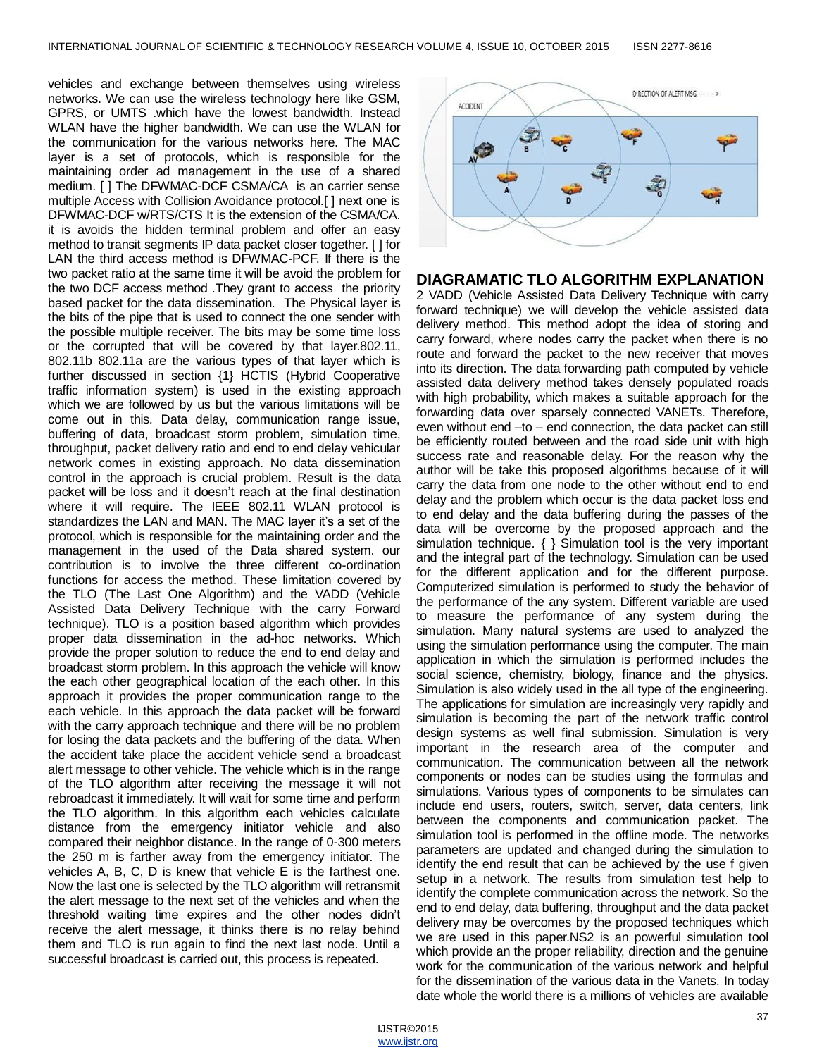vehicles and exchange between themselves using wireless networks. We can use the wireless technology here like GSM, GPRS, or UMTS .which have the lowest bandwidth. Instead WLAN have the higher bandwidth. We can use the WLAN for the communication for the various networks here. The MAC layer is a set of protocols, which is responsible for the maintaining order ad management in the use of a shared medium. [ ] The DFWMAC-DCF CSMA/CA is an carrier sense multiple Access with Collision Avoidance protocol.[ ] next one is DFWMAC-DCF w/RTS/CTS It is the extension of the CSMA/CA. it is avoids the hidden terminal problem and offer an easy method to transit segments IP data packet closer together. [ ] for LAN the third access method is DFWMAC-PCF. If there is the two packet ratio at the same time it will be avoid the problem for the two DCF access method .They grant to access the priority based packet for the data dissemination. The Physical layer is the bits of the pipe that is used to connect the one sender with the possible multiple receiver. The bits may be some time loss or the corrupted that will be covered by that layer.802.11, 802.11b 802.11a are the various types of that layer which is further discussed in section {1} HCTIS (Hybrid Cooperative traffic information system) is used in the existing approach which we are followed by us but the various limitations will be come out in this. Data delay, communication range issue, buffering of data, broadcast storm problem, simulation time, throughput, packet delivery ratio and end to end delay vehicular network comes in existing approach. No data dissemination control in the approach is crucial problem. Result is the data packet will be loss and it doesn't reach at the final destination where it will require. The IEEE 802.11 WLAN protocol is standardizes the LAN and MAN. The MAC layer it's a set of the protocol, which is responsible for the maintaining order and the management in the used of the Data shared system. our contribution is to involve the three different co-ordination functions for access the method. These limitation covered by the TLO (The Last One Algorithm) and the VADD (Vehicle Assisted Data Delivery Technique with the carry Forward technique). TLO is a position based algorithm which provides proper data dissemination in the ad-hoc networks. Which provide the proper solution to reduce the end to end delay and broadcast storm problem. In this approach the vehicle will know the each other geographical location of the each other. In this approach it provides the proper communication range to the each vehicle. In this approach the data packet will be forward with the carry approach technique and there will be no problem for losing the data packets and the buffering of the data. When the accident take place the accident vehicle send a broadcast alert message to other vehicle. The vehicle which is in the range of the TLO algorithm after receiving the message it will not rebroadcast it immediately. It will wait for some time and perform the TLO algorithm. In this algorithm each vehicles calculate distance from the emergency initiator vehicle and also compared their neighbor distance. In the range of 0-300 meters the 250 m is farther away from the emergency initiator. The vehicles A, B, C, D is knew that vehicle E is the farthest one. Now the last one is selected by the TLO algorithm will retransmit the alert message to the next set of the vehicles and when the threshold waiting time expires and the other nodes didn't receive the alert message, it thinks there is no relay behind them and TLO is run again to find the next last node. Until a successful broadcast is carried out, this process is repeated.



#### **DIAGRAMATIC TLO ALGORITHM EXPLANATION**

2 VADD (Vehicle Assisted Data Delivery Technique with carry forward technique) we will develop the vehicle assisted data delivery method. This method adopt the idea of storing and carry forward, where nodes carry the packet when there is no route and forward the packet to the new receiver that moves into its direction. The data forwarding path computed by vehicle assisted data delivery method takes densely populated roads with high probability, which makes a suitable approach for the forwarding data over sparsely connected VANETs. Therefore, even without end –to – end connection, the data packet can still be efficiently routed between and the road side unit with high success rate and reasonable delay. For the reason why the author will be take this proposed algorithms because of it will carry the data from one node to the other without end to end delay and the problem which occur is the data packet loss end to end delay and the data buffering during the passes of the data will be overcome by the proposed approach and the simulation technique. { } Simulation tool is the very important and the integral part of the technology. Simulation can be used for the different application and for the different purpose. Computerized simulation is performed to study the behavior of the performance of the any system. Different variable are used to measure the performance of any system during the simulation. Many natural systems are used to analyzed the using the simulation performance using the computer. The main application in which the simulation is performed includes the social science, chemistry, biology, finance and the physics. Simulation is also widely used in the all type of the engineering. The applications for simulation are increasingly very rapidly and simulation is becoming the part of the network traffic control design systems as well final submission. Simulation is very important in the research area of the computer and communication. The communication between all the network components or nodes can be studies using the formulas and simulations. Various types of components to be simulates can include end users, routers, switch, server, data centers, link between the components and communication packet. The simulation tool is performed in the offline mode. The networks parameters are updated and changed during the simulation to identify the end result that can be achieved by the use f given setup in a network. The results from simulation test help to identify the complete communication across the network. So the end to end delay, data buffering, throughput and the data packet delivery may be overcomes by the proposed techniques which we are used in this paper.NS2 is an powerful simulation tool which provide an the proper reliability, direction and the genuine work for the communication of the various network and helpful for the dissemination of the various data in the Vanets. In today date whole the world there is a millions of vehicles are available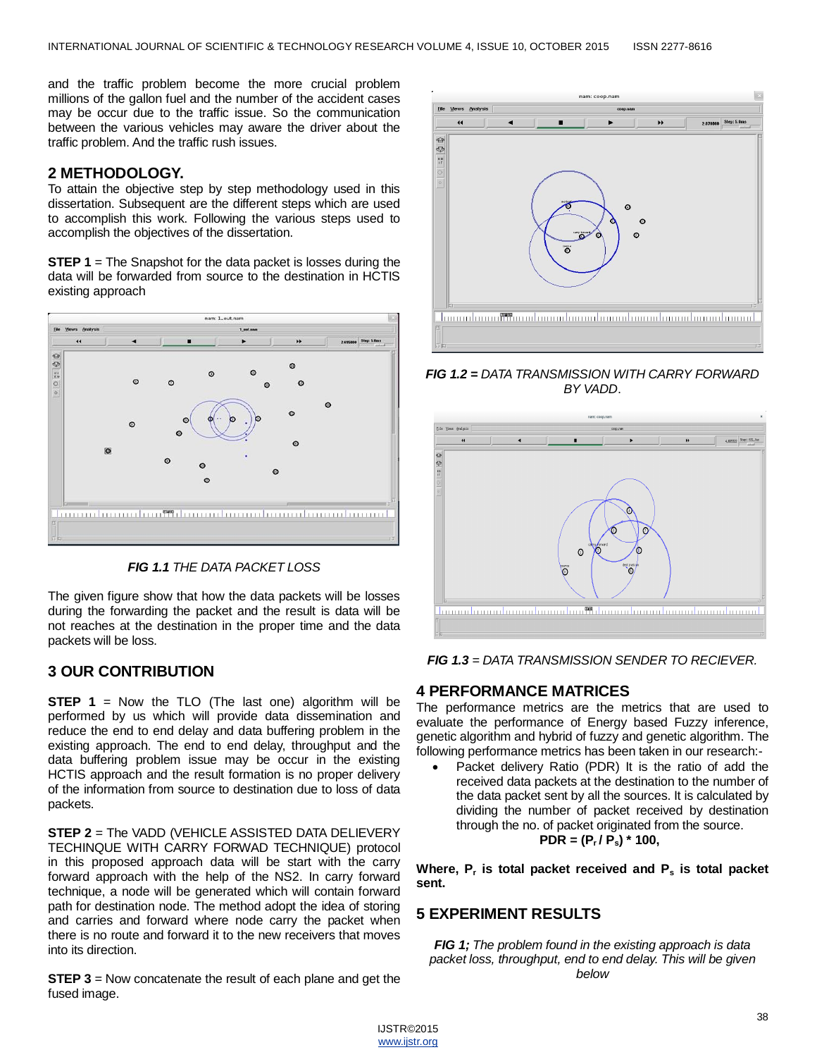and the traffic problem become the more crucial problem millions of the gallon fuel and the number of the accident cases may be occur due to the traffic issue. So the communication between the various vehicles may aware the driver about the traffic problem. And the traffic rush issues.

## **2 METHODOLOGY.**

To attain the objective step by step methodology used in this dissertation. Subsequent are the different steps which are used to accomplish this work. Following the various steps used to accomplish the objectives of the dissertation.

**STEP 1** = The Snapshot for the data packet is losses during the data will be forwarded from source to the destination in HCTIS existing approach





The given figure show that how the data packets will be losses during the forwarding the packet and the result is data will be not reaches at the destination in the proper time and the data packets will be loss.

# **3 OUR CONTRIBUTION**

**STEP 1** = Now the TLO (The last one) algorithm will be performed by us which will provide data dissemination and reduce the end to end delay and data buffering problem in the existing approach. The end to end delay, throughput and the data buffering problem issue may be occur in the existing HCTIS approach and the result formation is no proper delivery of the information from source to destination due to loss of data packets.

**STEP 2** = The VADD (VEHICLE ASSISTED DATA DELIEVERY TECHINQUE WITH CARRY FORWAD TECHNIQUE) protocol in this proposed approach data will be start with the carry forward approach with the help of the NS2. In carry forward technique, a node will be generated which will contain forward path for destination node. The method adopt the idea of storing and carries and forward where node carry the packet when there is no route and forward it to the new receivers that moves into its direction.

**STEP 3** = Now concatenate the result of each plane and get the fused image.



*FIG 1.2 = DATA TRANSMISSION WITH CARRY FORWARD BY VADD*.



*FIG 1.3 = DATA TRANSMISSION SENDER TO RECIEVER.*

## **4 PERFORMANCE MATRICES**

The performance metrics are the metrics that are used to evaluate the performance of Energy based Fuzzy inference, genetic algorithm and hybrid of fuzzy and genetic algorithm. The following performance metrics has been taken in our research:-

 Packet delivery Ratio (PDR) It is the ratio of add the received data packets at the destination to the number of the data packet sent by all the sources. It is calculated by dividing the number of packet received by destination through the no. of packet originated from the source.  $PDR = (P_r / P_s) * 100$ 

**Where, P<sup>r</sup> is total packet received and P<sup>s</sup> is total packet sent.**

## **5 EXPERIMENT RESULTS**

*FIG 1; The problem found in the existing approach is data packet loss, throughput, end to end delay. This will be given below*

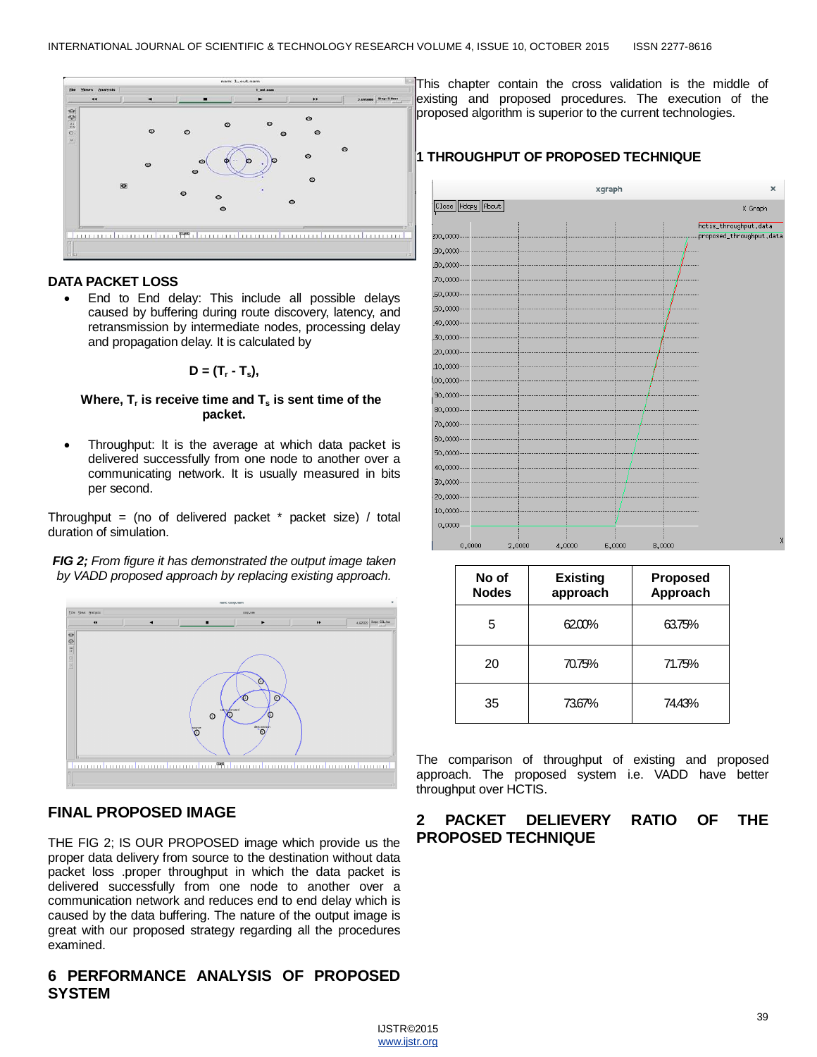

#### **DATA PACKET LOSS**

 End to End delay: This include all possible delays caused by buffering during route discovery, latency, and retransmission by intermediate nodes, processing delay and propagation delay. It is calculated by

$$
D = (T_r - T_s),
$$

#### **Where, T<sup>r</sup> is receive time and T<sup>s</sup> is sent time of the packet.**

 Throughput: It is the average at which data packet is delivered successfully from one node to another over a communicating network. It is usually measured in bits per second.

Throughput = (no of delivered packet  $*$  packet size) / total duration of simulation.

*FIG 2; From figure it has demonstrated the output image taken by VADD proposed approach by replacing existing approach.*



## **FINAL PROPOSED IMAGE**

THE FIG 2; IS OUR PROPOSED image which provide us the proper data delivery from source to the destination without data packet loss .proper throughput in which the data packet is delivered successfully from one node to another over a communication network and reduces end to end delay which is caused by the data buffering. The nature of the output image is great with our proposed strategy regarding all the procedures examined.

# **6 PERFORMANCE ANALYSIS OF PROPOSED SYSTEM**

This chapter contain the cross validation is the middle of existing and proposed procedures. The execution of the proposed algorithm is superior to the current technologies.

## **1 THROUGHPUT OF PROPOSED TECHNIQUE**



| No of<br><b>Nodes</b> | <b>Existing</b><br>approach | <b>Proposed</b><br>Approach |
|-----------------------|-----------------------------|-----------------------------|
| 5                     | 62.00%                      | 63.75%                      |
| 20                    | 70.75%                      | 71.75%                      |
| 35                    | 73.67%                      | 74.43%                      |

The comparison of throughput of existing and proposed approach. The proposed system i.e. VADD have better throughput over HCTIS.

# **2 PACKET DELIEVERY RATIO OF THE PROPOSED TECHNIQUE**

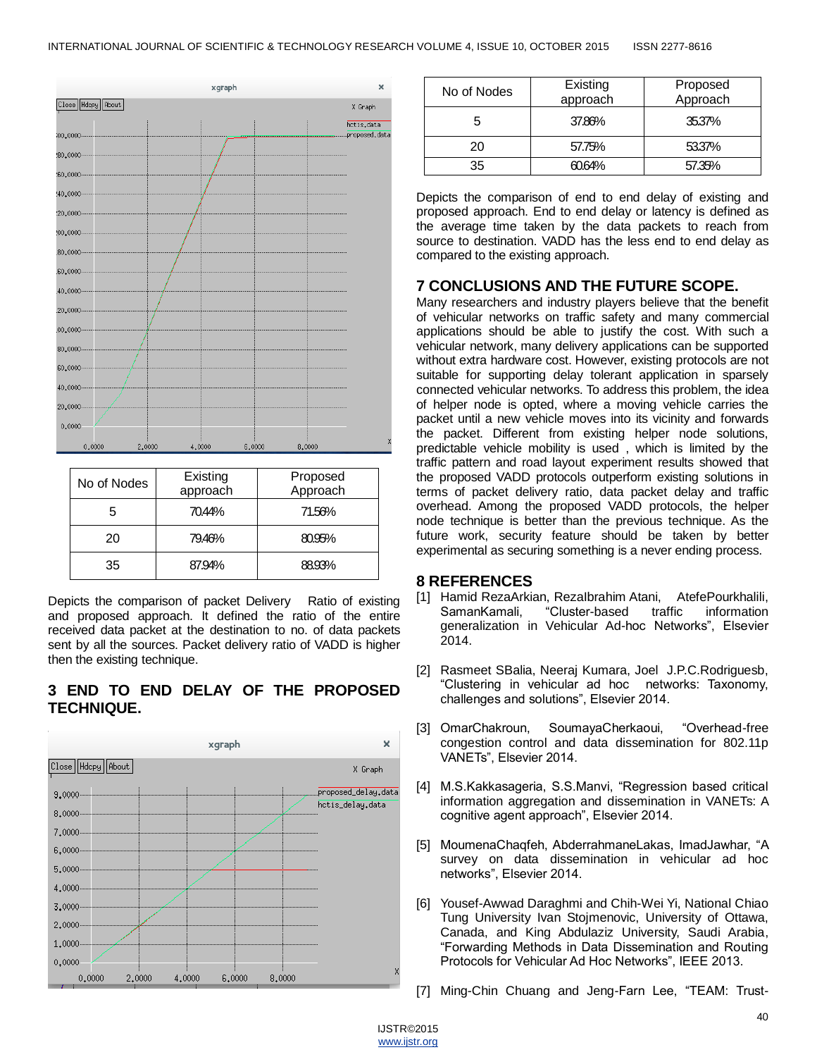

| No of Nodes | Existing<br>approach | Proposed<br>Approach |
|-------------|----------------------|----------------------|
| 5           | 70.44%               | 71.56%               |
| 20          | 79.46%               | 80.95%               |
| 35          | 87.94%               | 88.93%               |

Depicts the comparison of packet Delivery Ratio of existing and proposed approach. It defined the ratio of the entire received data packet at the destination to no. of data packets sent by all the sources. Packet delivery ratio of VADD is higher then the existing technique.

# **3 END TO END DELAY OF THE PROPOSED TECHNIQUE.**



| No of Nodes | Existing<br>approach | Proposed<br>Approach |
|-------------|----------------------|----------------------|
| 5           | 37.86%               | 35.37%               |
| 20          | 57.75%               | 53.37%               |
| 35          | 60.64%               | 57.35%               |

Depicts the comparison of end to end delay of existing and proposed approach. End to end delay or latency is defined as the average time taken by the data packets to reach from source to destination. VADD has the less end to end delay as compared to the existing approach.

# **7 CONCLUSIONS AND THE FUTURE SCOPE.**

Many researchers and industry players believe that the benefit of vehicular networks on traffic safety and many commercial applications should be able to justify the cost. With such a vehicular network, many delivery applications can be supported without extra hardware cost. However, existing protocols are not suitable for supporting delay tolerant application in sparsely connected vehicular networks. To address this problem, the idea of helper node is opted, where a moving vehicle carries the packet until a new vehicle moves into its vicinity and forwards the packet. Different from existing helper node solutions, predictable vehicle mobility is used , which is limited by the traffic pattern and road layout experiment results showed that the proposed VADD protocols outperform existing solutions in terms of packet delivery ratio, data packet delay and traffic overhead. Among the proposed VADD protocols, the helper node technique is better than the previous technique. As the future work, security feature should be taken by better experimental as securing something is a never ending process.

## **8 REFERENCES**

- [1] Hamid RezaArkian, RezaIbrahim Atani, AtefePourkhalili, SamanKamali, "Cluster-based traffic information generalization in Vehicular Ad-hoc Networks", Elsevier 2014.
- [2] Rasmeet SBalia, Neeraj Kumara, Joel J.P.C.Rodriguesb, ―Clustering in vehicular ad hoc networks: Taxonomy, challenges and solutions", Elsevier 2014.
- [3] OmarChakroun, SoumayaCherkaoui, "Overhead-free congestion control and data dissemination for 802.11p VANETs", Elsevier 2014.
- [4] M.S.Kakkasageria, S.S.Manvi, "Regression based critical information aggregation and dissemination in VANETs: A cognitive agent approach", Elsevier 2014.
- [5] MoumenaChaqfeh, AbderrahmaneLakas, ImadJawhar, "A survey on data dissemination in vehicular ad hoc networks", Elsevier 2014.
- [6] Yousef-Awwad Daraghmi and Chih-Wei Yi, National Chiao Tung University Ivan Stojmenovic, University of Ottawa, Canada, and King Abdulaziz University, Saudi Arabia, ―Forwarding Methods in Data Dissemination and Routing Protocols for Vehicular Ad Hoc Networks", IEEE 2013.
- [7] Ming-Chin Chuang and Jeng-Farn Lee, "TEAM: Trust-